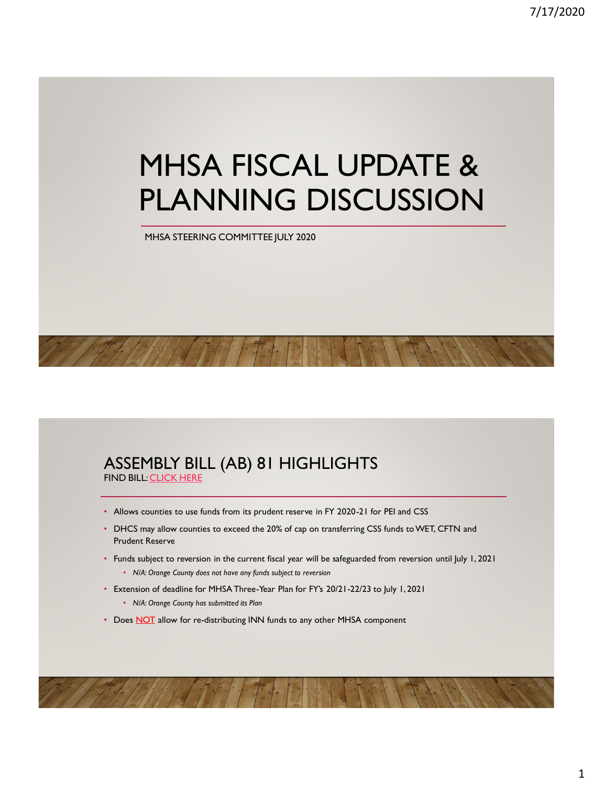# MHSA FISCAL UPDATE & PLANNING DISCUSSION

MHSA STEERING COMMITTEE JULY 2020

#### ASSEMBLY BILL (AB) 81 HIGHLIGHTS FIND BILL: [CLICK HERE](http://leginfo.legislature.ca.gov/faces/billNavClient.xhtml?bill_id=201920200AB81)

- Allows counties to use funds from its prudent reserve in FY 2020-21 for PEI and CSS
- DHCS may allow counties to exceed the 20% of cap on transferring CSS funds to WET, CFTN and Prudent Reserve
- Funds subject to reversion in the current fiscal year will be safeguarded from reversion until July 1, 2021 • *N/A: Orange County does not have any funds subject to reversion*
- Extension of deadline for MHSA Three-Year Plan for FY's 20/21-22/23 to July 1, 2021 • *N/A: Orange County has submitted its Plan*
- Does NOT allow for re-distributing INN funds to any other MHSA component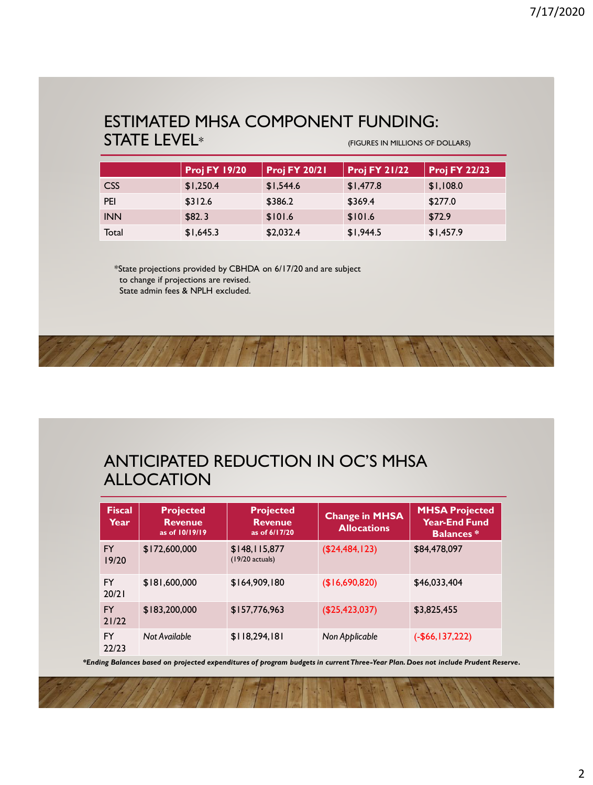### ESTIMATED MHSA COMPONENT FUNDING: STATE LEVEL<sup>\*</sup> The state of the state of the state of the state of DOLLARS)

|                  | <b>Proj FY 19/20</b> | <b>Proj FY 20/21</b> | <b>Proj FY 21/22</b> | <b>Proj FY 22/23</b> |
|------------------|----------------------|----------------------|----------------------|----------------------|
| CSS <sub>1</sub> | \$1,250.4            | \$1,544.6            | \$1,477.8            | \$1,108.0            |
| PEI              | \$312.6              | \$386.2              | \$369.4              | \$277.0              |
| <b>INN</b>       | \$82.3               | \$101.6              | \$101.6              | \$72.9               |
| Total            | \$1,645.3            | \$2,032.4            | \$1,944.5            | \$1,457.9            |

\*State projections provided by CBHDA on 6/17/20 and are subject to change if projections are revised. State admin fees & NPLH excluded.

# ANTICIPATED REDUCTION IN OC'S MHSA ALLOCATION

| <b>Fiscal</b><br>Year | <b>Projected</b><br><b>Revenue</b><br>as of 10/19/19 | <b>Projected</b><br><b>Revenue</b><br>as of 6/17/20 | <b>Change in MHSA</b><br><b>Allocations</b> | <b>MHSA Projected</b><br>Year-End Fund<br><b>Balances</b> * |
|-----------------------|------------------------------------------------------|-----------------------------------------------------|---------------------------------------------|-------------------------------------------------------------|
| FY.<br>19/20          | \$172,600,000                                        | \$148,115,877<br>$(19/20$ actuals)                  | (\$24,484,123)                              | \$84,478,097                                                |
| FY<br>20/21           | \$181,600,000                                        | \$164,909,180                                       | (\$16,690,820)                              | \$46,033,404                                                |
| <b>FY</b><br>21/22    | \$183,200,000                                        | \$157,776,963                                       | (\$25,423,037)                              | \$3,825,455                                                 |
| FY<br>22/23           | Not Available                                        | \$118,294,181                                       | Non Applicable                              | $(-$66,137,222)$                                            |

*\*Ending Balances based on projected expenditures of program budgets in current Three-Year Plan. Does not include Prudent Reserve.*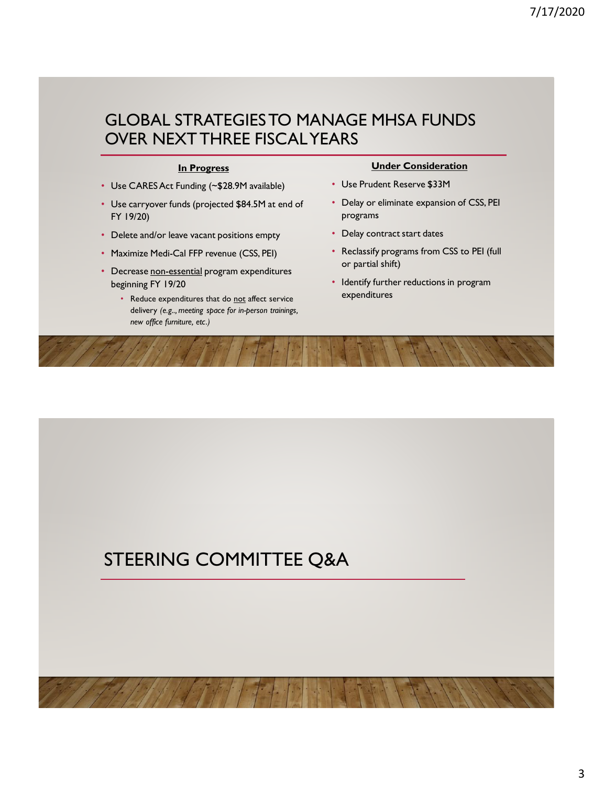## GLOBAL STRATEGIES TO MANAGE MHSA FUNDS OVER NEXT THREE FISCAL YEARS

#### **In Progress**

- Use CARES Act Funding (~\$28.9M available)
- Use carryover funds (projected \$84.5M at end of FY 19/20)
- Delete and/or leave vacant positions empty
- Maximize Medi-Cal FFP revenue (CSS, PEI)
- Decrease non-essential program expenditures beginning FY 19/20
	- Reduce expenditures that do not affect service delivery *(e.g.., meeting space for in-person trainings, new office furniture, etc.)*

#### **Under Consideration**

- Use Prudent Reserve \$33M
- Delay or eliminate expansion of CSS, PEI programs
- Delay contract start dates
- Reclassify programs from CSS to PEI (full or partial shift)
- Identify further reductions in program expenditures

# STEERING COMMITTEE Q&A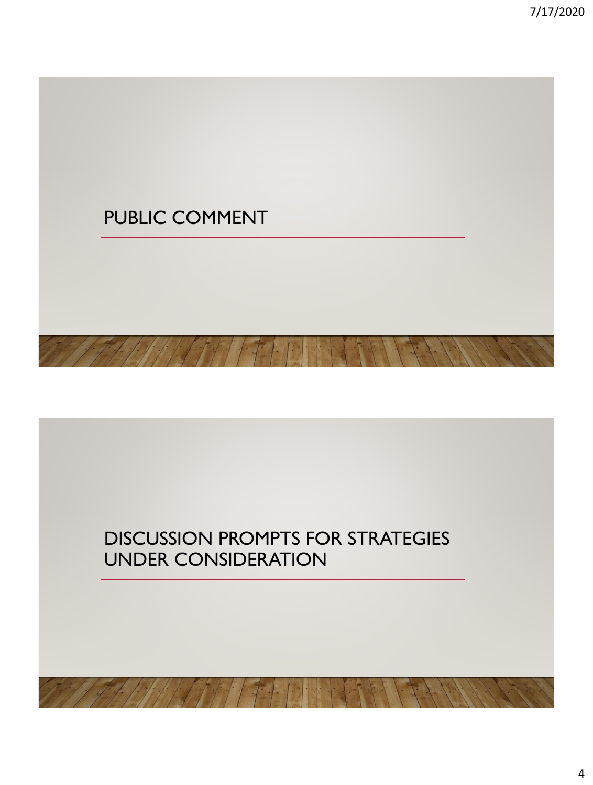

# DISCUSSION PROMPTS FOR STRATEGIES UNDER CONSIDERATION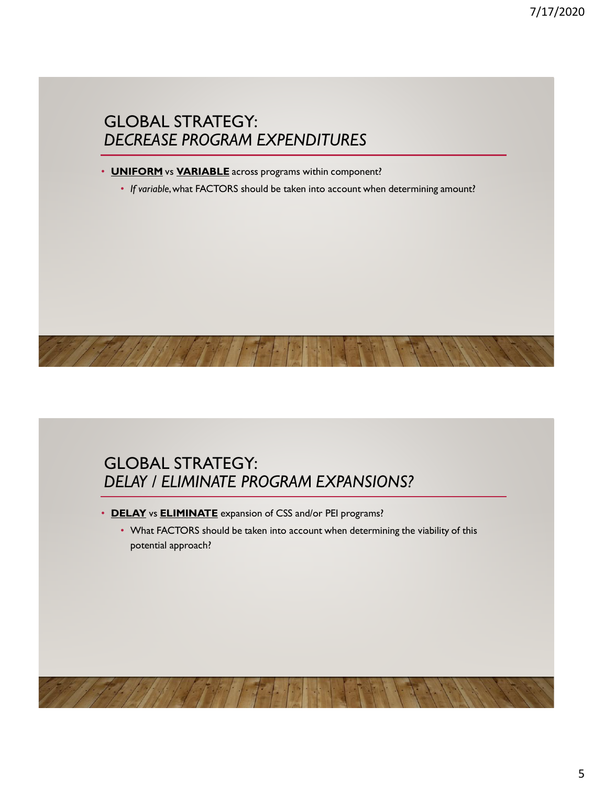## GLOBAL STRATEGY: *DECREASE PROGRAM EXPENDITURES*

#### • **UNIFORM** vs **VARIABLE** across programs within component?

• *If variable*, what FACTORS should be taken into account when determining amount?



- **DELAY** vs **ELIMINATE** expansion of CSS and/or PEI programs?
	- What FACTORS should be taken into account when determining the viability of this potential approach?